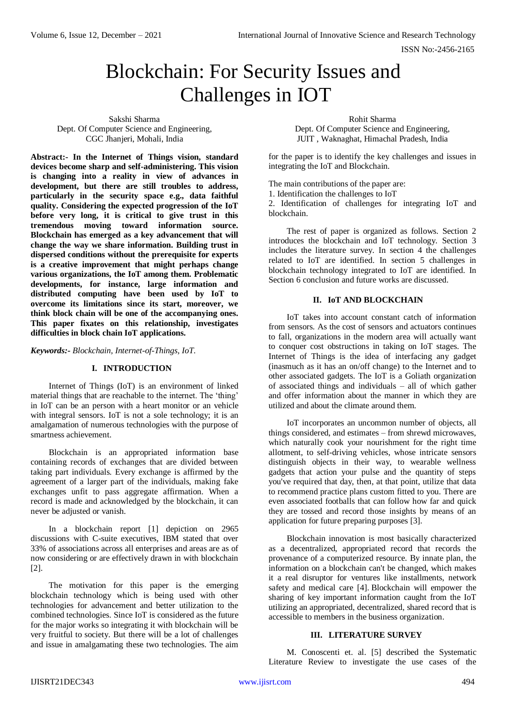# Blockchain: For Security Issues and Challenges in IOT

Sakshi Sharma Dept. Of Computer Science and Engineering, CGC Jhanjeri, Mohali, India

**Abstract:- In the Internet of Things vision, standard devices become sharp and self-administering. This vision is changing into a reality in view of advances in development, but there are still troubles to address, particularly in the security space e.g., data faithful quality. Considering the expected progression of the IoT before very long, it is critical to give trust in this tremendous moving toward information source. Blockchain has emerged as a key advancement that will change the way we share information. Building trust in dispersed conditions without the prerequisite for experts is a creative improvement that might perhaps change various organizations, the IoT among them. Problematic developments, for instance, large information and distributed computing have been used by IoT to overcome its limitations since its start, moreover, we think block chain will be one of the accompanying ones. This paper fixates on this relationship, investigates difficulties in block chain IoT applications.**

*Keywords:- Blockchain, Internet-of-Things, IoT.*

# **I. INTRODUCTION**

Internet of Things (IoT) is an environment of linked material things that are reachable to the internet. The 'thing' in IoT can be an person with a heart monitor or an vehicle with integral sensors. IoT is not a sole technology; it is an amalgamation of numerous technologies with the purpose of smartness achievement.

Blockchain is an appropriated information base containing records of exchanges that are divided between taking part individuals. Every exchange is affirmed by the agreement of a larger part of the individuals, making fake exchanges unfit to pass aggregate affirmation. When a record is made and acknowledged by the blockchain, it can never be adjusted or vanish.

In a blockchain report [1] depiction on 2965 discussions with C-suite executives, IBM stated that over 33% of associations across all enterprises and areas are as of now considering or are effectively drawn in with blockchain [2].

The motivation for this paper is the emerging blockchain technology which is being used with other technologies for advancement and better utilization to the combined technologies. Since IoT is considered as the future for the major works so integrating it with blockchain will be very fruitful to society. But there will be a lot of challenges and issue in amalgamating these two technologies. The aim

Rohit Sharma Dept. Of Computer Science and Engineering, JUIT , Waknaghat, Himachal Pradesh, India

for the paper is to identify the key challenges and issues in integrating the IoT and Blockchain.

The main contributions of the paper are:

1. Identification the challenges to IoT

2. Identification of challenges for integrating IoT and blockchain.

The rest of paper is organized as follows. Section 2 introduces the blockchain and IoT technology. Section 3 includes the literature survey. In section 4 the challenges related to IoT are identified. In section 5 challenges in blockchain technology integrated to IoT are identified. In Section 6 conclusion and future works are discussed.

## **II. IoT AND BLOCKCHAIN**

IoT takes into account constant catch of information from sensors. As the cost of sensors and actuators continues to fall, organizations in the modern area will actually want to conquer cost obstructions in taking on IoT stages. The Internet of Things is the idea of interfacing any gadget (inasmuch as it has an on/off change) to the Internet and to other associated gadgets. The IoT is a Goliath organization of associated things and individuals – all of which gather and offer information about the manner in which they are utilized and about the climate around them.

IoT incorporates an uncommon number of objects, all things considered, and estimates – from shrewd microwaves, which naturally cook your nourishment for the right time allotment, to self-driving vehicles, whose intricate sensors distinguish objects in their way, to wearable wellness gadgets that action your pulse and the quantity of steps you've required that day, then, at that point, utilize that data to recommend practice plans custom fitted to you. There are even associated footballs that can follow how far and quick they are tossed and record those insights by means of an application for future preparing purposes [3].

Blockchain innovation is most basically characterized as a decentralized, appropriated record that records the provenance of a computerized resource. By innate plan, the information on a blockchain can't be changed, which makes it a real disruptor for ventures like installments, network safety and medical care [4]. Blockchain will empower the sharing of key important information caught from the IoT utilizing an appropriated, decentralized, shared record that is accessible to members in the business organization.

## **III. LITERATURE SURVEY**

M. Conoscenti et. al. [5] described the Systematic Literature Review to investigate the use cases of the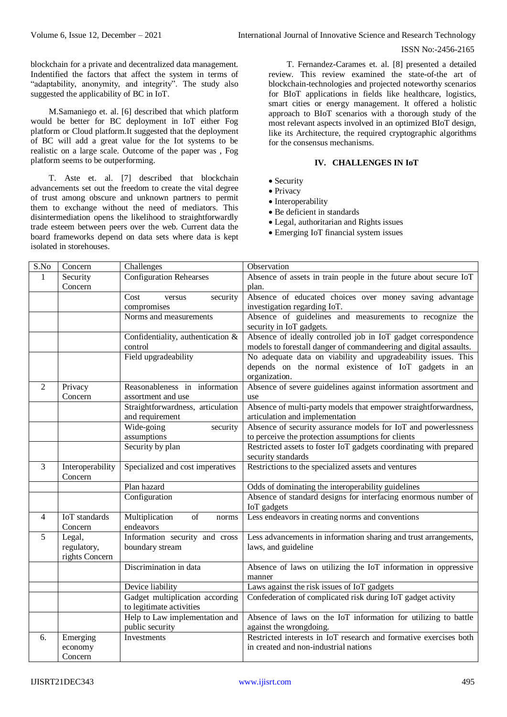## ISSN No:-2456-2165

blockchain for a private and decentralized data management. Indentified the factors that affect the system in terms of "adaptability, anonymity, and integrity". The study also suggested the applicability of BC in IoT.

M.Samaniego et. al. [6] described that which platform would be better for BC deployment in IoT either Fog platform or Cloud platform.It suggested that the deployment of BC will add a great value for the Iot systems to be realistic on a large scale. Outcome of the paper was , Fog platform seems to be outperforming.

T. Aste et. al. [7] described that blockchain advancements set out the freedom to create the vital degree of trust among obscure and unknown partners to permit them to exchange without the need of mediators. This disintermediation opens the likelihood to straightforwardly trade esteem between peers over the web. Current data the board frameworks depend on data sets where data is kept isolated in storehouses.

T. Fernandez-Carames et. al. [8] presented a detailed review. This review examined the state-of-the art of blockchain-technologies and projected noteworthy scenarios for BIoT applications in fields like healthcare, logistics, smart cities or energy management. It offered a holistic approach to BIoT scenarios with a thorough study of the most relevant aspects involved in an optimized BIoT design, like its Architecture, the required cryptographic algorithms for the consensus mechanisms.

# **IV. CHALLENGES IN IoT**

- Security
- Privacy
- Interoperability
- Be deficient in standards
- Legal, authoritarian and Rights issues
- Emerging IoT financial system issues

| S.No           | Concern                     | Challenges                        | Observation                                                              |
|----------------|-----------------------------|-----------------------------------|--------------------------------------------------------------------------|
| 1              | Security                    | Configuration Rehearses           | Absence of assets in train people in the future about secure IoT         |
|                | Concern                     |                                   | plan.                                                                    |
|                |                             | Cost<br>security<br>versus        | Absence of educated choices over money saving advantage                  |
|                |                             | compromises                       | investigation regarding IoT.                                             |
|                |                             | Norms and measurements            | Absence of guidelines and measurements to recognize the                  |
|                |                             |                                   | security in IoT gadgets.                                                 |
|                |                             | Confidentiality, authentication & | Absence of ideally controlled job in IoT gadget correspondence           |
|                |                             | control                           | models to forestall danger of commandeering and digital assaults.        |
|                |                             | Field upgradeability              | No adequate data on viability and upgradeability issues. This            |
|                |                             |                                   | depends on the normal existence of IoT gadgets in an                     |
|                |                             |                                   | organization.                                                            |
| $\overline{2}$ | Privacy                     | Reasonableness in information     | Absence of severe guidelines against information assortment and          |
|                | Concern                     | assortment and use                | use                                                                      |
|                |                             | Straightforwardness, articulation | Absence of multi-party models that empower straightforwardness,          |
|                |                             | and requirement                   | articulation and implementation                                          |
|                |                             | Wide-going<br>security            | Absence of security assurance models for IoT and powerlessness           |
|                |                             | assumptions                       | to perceive the protection assumptions for clients                       |
|                |                             | Security by plan                  | Restricted assets to foster IoT gadgets coordinating with prepared       |
|                |                             |                                   | security standards                                                       |
| 3              | Interoperability<br>Concern | Specialized and cost imperatives  | Restrictions to the specialized assets and ventures                      |
|                |                             | Plan hazard                       | Odds of dominating the interoperability guidelines                       |
|                |                             | Configuration                     | Absence of standard designs for interfacing enormous number of           |
|                |                             |                                   | IoT gadgets                                                              |
| 4              | <b>IoT</b> standards        | Multiplication<br>of<br>norms     | Less endeavors in creating norms and conventions                         |
|                | Concern                     | endeavors                         |                                                                          |
| 5              | Legal,                      | Information security and cross    | Less advancements in information sharing and trust arrangements,         |
|                | regulatory,                 | boundary stream                   | laws, and guideline                                                      |
|                | rights Concern              |                                   |                                                                          |
|                |                             | Discrimination in data            | Absence of laws on utilizing the IoT information in oppressive<br>manner |
|                |                             | Device liability                  | Laws against the risk issues of IoT gadgets                              |
|                |                             | Gadget multiplication according   | Confederation of complicated risk during IoT gadget activity             |
|                |                             | to legitimate activities          |                                                                          |
|                |                             | Help to Law implementation and    | Absence of laws on the IoT information for utilizing to battle           |
|                |                             | public security                   | against the wrongdoing.                                                  |
| 6.             | Emerging                    | Investments                       | Restricted interests in IoT research and formative exercises both        |
|                | economy                     |                                   | in created and non-industrial nations                                    |
|                | Concern                     |                                   |                                                                          |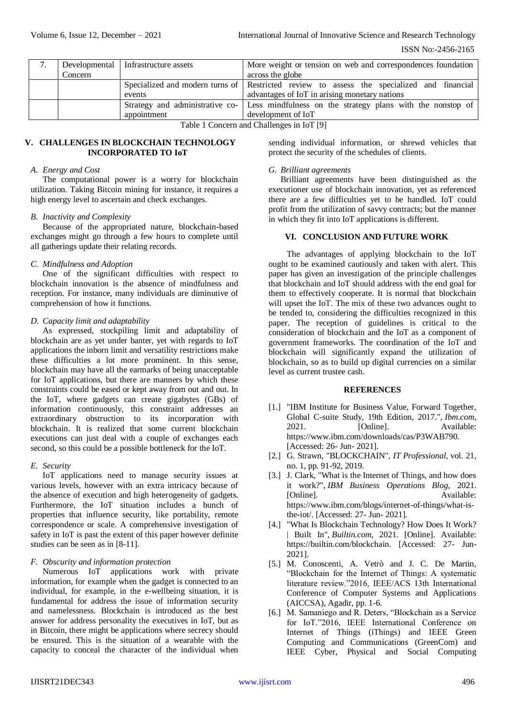|                                           |         | Developmental   Infrastructure assets | More weight or tension on web and correspondences foundation                               |
|-------------------------------------------|---------|---------------------------------------|--------------------------------------------------------------------------------------------|
|                                           | Concern |                                       | across the globe                                                                           |
|                                           |         |                                       | Specialized and modern turns of Restricted review to assess the specialized and financial  |
|                                           |         | events                                | advantages of IoT in arising monetary nations                                              |
|                                           |         |                                       | Strategy and administrative co- Less mindfulness on the strategy plans with the nonstop of |
|                                           |         | appointment                           | development of IoT                                                                         |
| Table 1 Concern and Challenges in IoT [9] |         |                                       |                                                                                            |

Table 1 Concern and Challenges in IoT [9]

## **V. CHALLENGES IN BLOCKCHAIN TECHNOLOGY INCORPORATED TO IoT**

#### *A. Energy and Cost*

The computational power is a worry for blockchain utilization. Taking Bitcoin mining for instance, it requires a high energy level to ascertain and check exchanges.

#### *B. Inactivity and Complexity*

Because of the appropriated nature, blockchain-based exchanges might go through a few hours to complete until all gatherings update their relating records.

## *C. Mindfulness and Adoption*

One of the significant difficulties with respect to blockchain innovation is the absence of mindfulness and reception. For instance, many individuals are diminutive of comprehension of how it functions.

## *D. Capacity limit and adaptability*

As expressed, stockpiling limit and adaptability of blockchain are as yet under banter, yet with regards to IoT applications the inborn limit and versatility restrictions make these difficulties a lot more prominent. In this sense, blockchain may have all the earmarks of being unacceptable for IoT applications, but there are manners by which these constraints could be eased or kept away from out and out. In the IoT, where gadgets can create gigabytes (GBs) of information continuously, this constraint addresses an extraordinary obstruction to its incorporation with blockchain. It is realized that some current blockchain executions can just deal with a couple of exchanges each second, so this could be a possible bottleneck for the IoT.

## *E. Security*

IoT applications need to manage security issues at various levels, however with an extra intricacy because of the absence of execution and high heterogeneity of gadgets. Furthermore, the IoT situation includes a bunch of properties that influence security, like portability, remote correspondence or scale. A comprehensive investigation of safety in IoT is past the extent of this paper however definite studies can be seen as in [8-11].

## *F. Obscurity and information protection*

Numerous IoT applications work with private information, for example when the gadget is connected to an individual, for example, in the e-wellbeing situation, it is fundamental for address the issue of information security and namelessness. Blockchain is introduced as the best answer for address personality the executives in IoT, but as in Bitcoin, there might be applications where secrecy should be ensured. This is the situation of a wearable with the capacity to conceal the character of the individual when

sending individual information, or shrewd vehicles that protect the security of the schedules of clients.

#### *G. Brilliant agreements*

Brilliant agreements have been distinguished as the executioner use of blockchain innovation, yet as referenced there are a few difficulties yet to be handled. IoT could profit from the utilization of savvy contracts; but the manner in which they fit into IoT applications is different.

# **VI. CONCLUSION AND FUTURE WORK**

The advantages of applying blockchain to the IoT ought to be examined cautiously and taken with alert. This paper has given an investigation of the principle challenges that blockchain and IoT should address with the end goal for them to effectively cooperate. It is normal that blockchain will upset the IoT. The mix of these two advances ought to be tended to, considering the difficulties recognized in this paper. The reception of guidelines is critical to the consideration of blockchain and the IoT as a component of government frameworks. The coordination of the IoT and blockchain will significantly expand the utilization of blockchain, so as to build up digital currencies on a similar level as current trustee cash.

# **REFERENCES**

- [1.] "IBM Institute for Business Value, Forward Together, Global C-suite Study, 19th Edition, 2017.", *Ibm.com*, 2021. [Online]. Available: https://www.ibm.com/downloads/cas/P3WAB790. [Accessed: 26- Jun- 2021].
- [2.] G. Strawn, "BLOCKCHAIN", *IT Professional*, vol. 21, no. 1, pp. 91-92, 2019.
- [3.] J. Clark, "What is the Internet of Things, and how does it work?", *IBM Business Operations Blog*, 2021. [Online]. Available: https://www.ibm.com/blogs/internet-of-things/what-isthe-iot/. [Accessed: 27- Jun- 2021].
- [4.] "What Is Blockchain Technology? How Does It Work? | Built In", *Builtin.com*, 2021. [Online]. Available: https://builtin.com/blockchain. [Accessed: 27- Jun-2021].
- [5.] M. Conoscenti, A. Vetrò and J. C. De Martin, "Blockchain for the Internet of Things: A systematic literature review."2016, IEEE/ACS 13th International Conference of Computer Systems and Applications (AICCSA), Agadir, pp. 1-6.
- [6.] M. Samaniego and R. Deters, "Blockchain as a Service for IoT."2016, IEEE International Conference on Internet of Things (iThings) and IEEE Green Computing and Communications (GreenCom) and IEEE Cyber, Physical and Social Computing